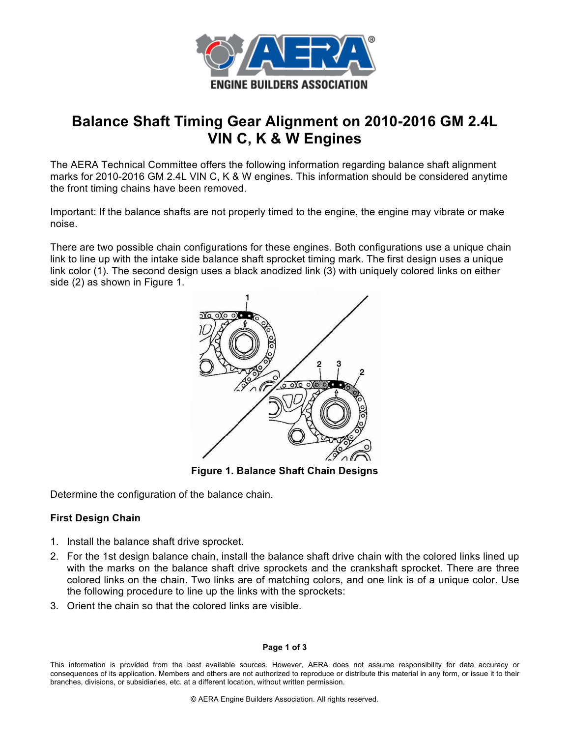

# **Balance Shaft Timing Gear Alignment on 2010-2016 GM 2.4L VIN C, K & W Engines**

The AERA Technical Committee offers the following information regarding balance shaft alignment marks for 2010-2016 GM 2.4L VIN C, K & W engines. This information should be considered anytime the front timing chains have been removed.

Important: If the balance shafts are not properly timed to the engine, the engine may vibrate or make noise.

There are two possible chain configurations for these engines. Both configurations use a unique chain link to line up with the intake side balance shaft sprocket timing mark. The first design uses a unique link color (1). The second design uses a black anodized link (3) with uniquely colored links on either side (2) as shown in Figure 1.



**Figure 1. Balance Shaft Chain Designs**

Determine the configuration of the balance chain.

## **First Design Chain**

- 1. Install the balance shaft drive sprocket.
- 2. For the 1st design balance chain, install the balance shaft drive chain with the colored links lined up with the marks on the balance shaft drive sprockets and the crankshaft sprocket. There are three colored links on the chain. Two links are of matching colors, and one link is of a unique color. Use the following procedure to line up the links with the sprockets:
- 3. Orient the chain so that the colored links are visible.

### **Page 1 of 3**

This information is provided from the best available sources. However, AERA does not assume responsibility for data accuracy or consequences of its application. Members and others are not authorized to reproduce or distribute this material in any form, or issue it to their branches, divisions, or subsidiaries, etc. at a different location, without written permission.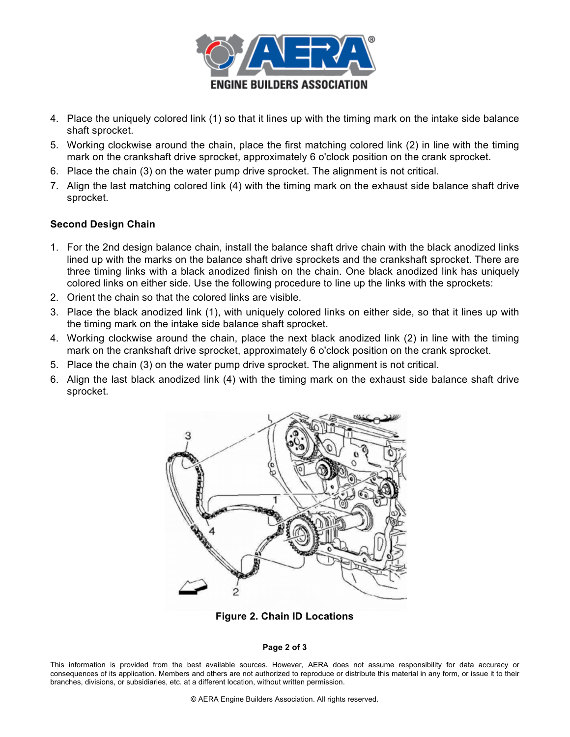

- 4. Place the uniquely colored link (1) so that it lines up with the timing mark on the intake side balance shaft sprocket.
- 5. Working clockwise around the chain, place the first matching colored link (2) in line with the timing mark on the crankshaft drive sprocket, approximately 6 o'clock position on the crank sprocket.
- 6. Place the chain (3) on the water pump drive sprocket. The alignment is not critical.
- 7. Align the last matching colored link (4) with the timing mark on the exhaust side balance shaft drive sprocket.

## **Second Design Chain**

- 1. For the 2nd design balance chain, install the balance shaft drive chain with the black anodized links lined up with the marks on the balance shaft drive sprockets and the crankshaft sprocket. There are three timing links with a black anodized finish on the chain. One black anodized link has uniquely colored links on either side. Use the following procedure to line up the links with the sprockets:
- 2. Orient the chain so that the colored links are visible.
- 3. Place the black anodized link (1), with uniquely colored links on either side, so that it lines up with the timing mark on the intake side balance shaft sprocket.
- 4. Working clockwise around the chain, place the next black anodized link (2) in line with the timing mark on the crankshaft drive sprocket, approximately 6 o'clock position on the crank sprocket.
- 5. Place the chain (3) on the water pump drive sprocket. The alignment is not critical.
- 6. Align the last black anodized link (4) with the timing mark on the exhaust side balance shaft drive sprocket.



**Figure 2. Chain ID Locations**

### **Page 2 of 3**

This information is provided from the best available sources. However, AERA does not assume responsibility for data accuracy or consequences of its application. Members and others are not authorized to reproduce or distribute this material in any form, or issue it to their branches, divisions, or subsidiaries, etc. at a different location, without written permission.